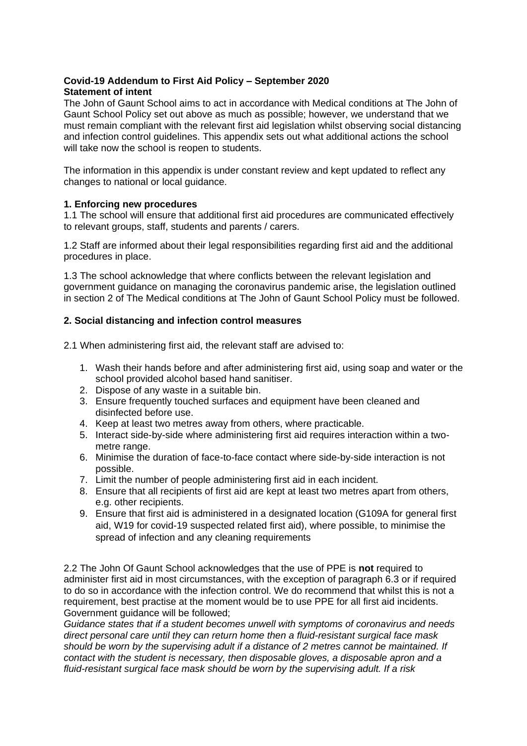# **Covid-19 Addendum to First Aid Policy – September 2020 Statement of intent**

The John of Gaunt School aims to act in accordance with Medical conditions at The John of Gaunt School Policy set out above as much as possible; however, we understand that we must remain compliant with the relevant first aid legislation whilst observing social distancing and infection control guidelines. This appendix sets out what additional actions the school will take now the school is reopen to students.

The information in this appendix is under constant review and kept updated to reflect any changes to national or local guidance.

## **1. Enforcing new procedures**

1.1 The school will ensure that additional first aid procedures are communicated effectively to relevant groups, staff, students and parents / carers.

1.2 Staff are informed about their legal responsibilities regarding first aid and the additional procedures in place.

1.3 The school acknowledge that where conflicts between the relevant legislation and government guidance on managing the coronavirus pandemic arise, the legislation outlined in section 2 of The Medical conditions at The John of Gaunt School Policy must be followed.

# **2. Social distancing and infection control measures**

2.1 When administering first aid, the relevant staff are advised to:

- 1. Wash their hands before and after administering first aid, using soap and water or the school provided alcohol based hand sanitiser.
- 2. Dispose of any waste in a suitable bin.
- 3. Ensure frequently touched surfaces and equipment have been cleaned and disinfected before use.
- 4. Keep at least two metres away from others, where practicable.
- 5. Interact side-by-side where administering first aid requires interaction within a twometre range.
- 6. Minimise the duration of face-to-face contact where side-by-side interaction is not possible.
- 7. Limit the number of people administering first aid in each incident.
- 8. Ensure that all recipients of first aid are kept at least two metres apart from others, e.g. other recipients.
- 9. Ensure that first aid is administered in a designated location (G109A for general first aid, W19 for covid-19 suspected related first aid), where possible, to minimise the spread of infection and any cleaning requirements

2.2 The John Of Gaunt School acknowledges that the use of PPE is **not** required to administer first aid in most circumstances, with the exception of paragraph 6.3 or if required to do so in accordance with the infection control. We do recommend that whilst this is not a requirement, best practise at the moment would be to use PPE for all first aid incidents. Government guidance will be followed;

*Guidance states that if a student becomes unwell with symptoms of coronavirus and needs direct personal care until they can return home then a fluid-resistant surgical face mask should be worn by the supervising adult if a distance of 2 metres cannot be maintained. If contact with the student is necessary, then disposable gloves, a disposable apron and a fluid-resistant surgical face mask should be worn by the supervising adult. If a risk*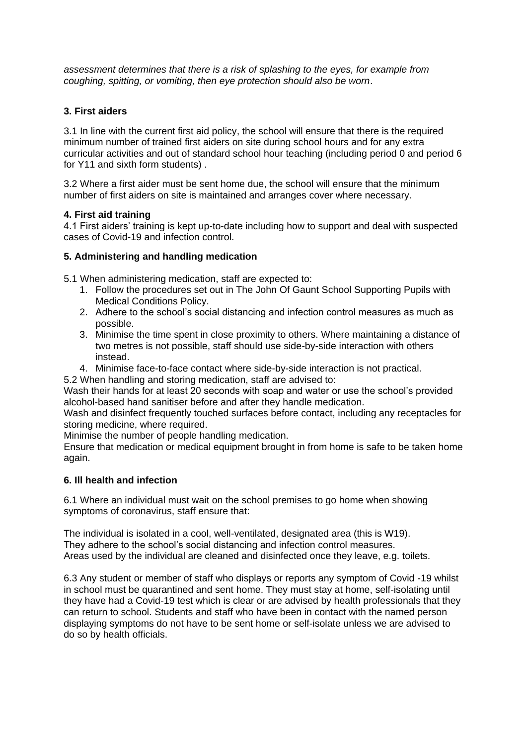*assessment determines that there is a risk of splashing to the eyes, for example from coughing, spitting, or vomiting, then eye protection should also be worn*.

## **3. First aiders**

3.1 In line with the current first aid policy, the school will ensure that there is the required minimum number of trained first aiders on site during school hours and for any extra curricular activities and out of standard school hour teaching (including period 0 and period 6 for Y11 and sixth form students) .

3.2 Where a first aider must be sent home due, the school will ensure that the minimum number of first aiders on site is maintained and arranges cover where necessary.

# **4. First aid training**

4.1 First aiders' training is kept up-to-date including how to support and deal with suspected cases of Covid-19 and infection control.

## **5. Administering and handling medication**

5.1 When administering medication, staff are expected to:

- 1. Follow the procedures set out in The John Of Gaunt School Supporting Pupils with Medical Conditions Policy.
- 2. Adhere to the school's social distancing and infection control measures as much as possible.
- 3. Minimise the time spent in close proximity to others. Where maintaining a distance of two metres is not possible, staff should use side-by-side interaction with others instead.
- 4. Minimise face-to-face contact where side-by-side interaction is not practical.
- 5.2 When handling and storing medication, staff are advised to:

Wash their hands for at least 20 seconds with soap and water or use the school's provided alcohol-based hand sanitiser before and after they handle medication.

Wash and disinfect frequently touched surfaces before contact, including any receptacles for storing medicine, where required.

Minimise the number of people handling medication.

Ensure that medication or medical equipment brought in from home is safe to be taken home again.

# **6. Ill health and infection**

6.1 Where an individual must wait on the school premises to go home when showing symptoms of coronavirus, staff ensure that:

The individual is isolated in a cool, well-ventilated, designated area (this is W19). They adhere to the school's social distancing and infection control measures. Areas used by the individual are cleaned and disinfected once they leave, e.g. toilets.

6.3 Any student or member of staff who displays or reports any symptom of Covid -19 whilst in school must be quarantined and sent home. They must stay at home, self-isolating until they have had a Covid-19 test which is clear or are advised by health professionals that they can return to school. Students and staff who have been in contact with the named person displaying symptoms do not have to be sent home or self-isolate unless we are advised to do so by health officials.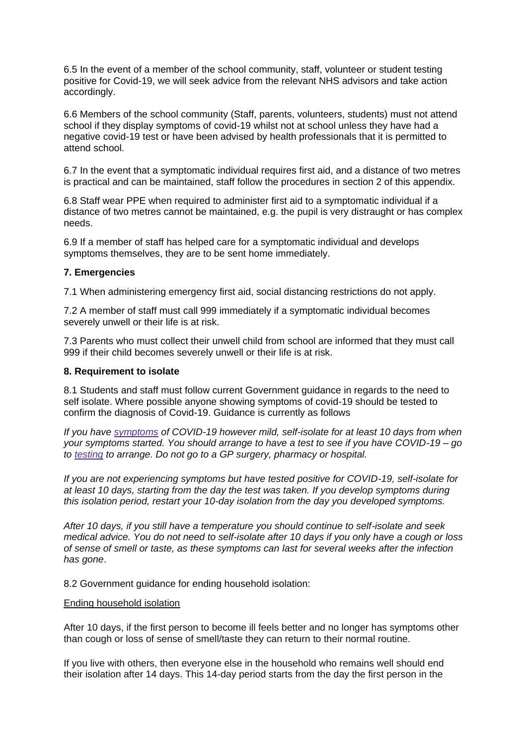6.5 In the event of a member of the school community, staff, volunteer or student testing positive for Covid-19, we will seek advice from the relevant NHS advisors and take action accordingly.

6.6 Members of the school community (Staff, parents, volunteers, students) must not attend school if they display symptoms of covid-19 whilst not at school unless they have had a negative covid-19 test or have been advised by health professionals that it is permitted to attend school.

6.7 In the event that a symptomatic individual requires first aid, and a distance of two metres is practical and can be maintained, staff follow the procedures in section 2 of this appendix.

6.8 Staff wear PPE when required to administer first aid to a symptomatic individual if a distance of two metres cannot be maintained, e.g. the pupil is very distraught or has complex needs.

6.9 If a member of staff has helped care for a symptomatic individual and develops symptoms themselves, they are to be sent home immediately.

## **7. Emergencies**

7.1 When administering emergency first aid, social distancing restrictions do not apply.

7.2 A member of staff must call 999 immediately if a symptomatic individual becomes severely unwell or their life is at risk.

7.3 Parents who must collect their unwell child from school are informed that they must call 999 if their child becomes severely unwell or their life is at risk.

## **8. Requirement to isolate**

8.1 Students and staff must follow current Government guidance in regards to the need to self isolate. Where possible anyone showing symptoms of covid-19 should be tested to confirm the diagnosis of Covid-19. Guidance is currently as follows

*If you have [symptoms](https://www.gov.uk/government/publications/covid-19-stay-at-home-guidance/stay-at-home-guidance-for-households-with-possible-coronavirus-covid-19-infection#symptoms) of COVID-19 however mild, self-isolate for at least 10 days from when your symptoms started. You should arrange to have a test to see if you have COVID-19 – go to [testing](https://www.nhs.uk/conditions/coronavirus-covid-19/testing-for-coronavirus/) to arrange. Do not go to a GP surgery, pharmacy or hospital.*

*If you are not experiencing symptoms but have tested positive for COVID-19, self-isolate for at least 10 days, starting from the day the test was taken. If you develop symptoms during this isolation period, restart your 10-day isolation from the day you developed symptoms.*

*After 10 days, if you still have a temperature you should continue to self-isolate and seek medical advice. You do not need to self-isolate after 10 days if you only have a cough or loss of sense of smell or taste, as these symptoms can last for several weeks after the infection has gone*.

8.2 Government guidance for ending household isolation:

### Ending household isolation

After 10 days, if the first person to become ill feels better and no longer has symptoms other than cough or loss of sense of smell/taste they can return to their normal routine.

If you live with others, then everyone else in the household who remains well should end their isolation after 14 days. This 14-day period starts from the day the first person in the